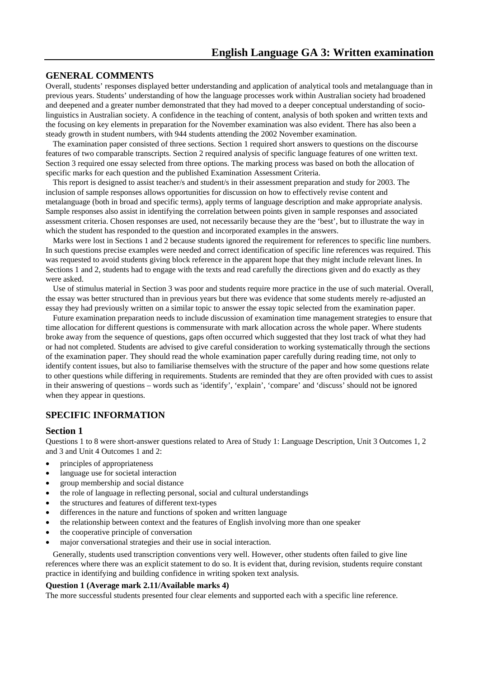# **GENERAL COMMENTS**

Overall, students' responses displayed better understanding and application of analytical tools and metalanguage than in previous years. Students' understanding of how the language processes work within Australian society had broadened and deepened and a greater number demonstrated that they had moved to a deeper conceptual understanding of sociolinguistics in Australian society. A confidence in the teaching of content, analysis of both spoken and written texts and the focusing on key elements in preparation for the November examination was also evident. There has also been a steady growth in student numbers, with 944 students attending the 2002 November examination.

The examination paper consisted of three sections. Section 1 required short answers to questions on the discourse features of two comparable transcripts. Section 2 required analysis of specific language features of one written text. Section 3 required one essay selected from three options. The marking process was based on both the allocation of specific marks for each question and the published Examination Assessment Criteria.

This report is designed to assist teacher/s and student/s in their assessment preparation and study for 2003. The inclusion of sample responses allows opportunities for discussion on how to effectively revise content and metalanguage (both in broad and specific terms), apply terms of language description and make appropriate analysis. Sample responses also assist in identifying the correlation between points given in sample responses and associated assessment criteria. Chosen responses are used, not necessarily because they are the 'best', but to illustrate the way in which the student has responded to the question and incorporated examples in the answers.

Marks were lost in Sections 1 and 2 because students ignored the requirement for references to specific line numbers. In such questions precise examples were needed and correct identification of specific line references was required. This was requested to avoid students giving block reference in the apparent hope that they might include relevant lines. In Sections 1 and 2, students had to engage with the texts and read carefully the directions given and do exactly as they were asked.

Use of stimulus material in Section 3 was poor and students require more practice in the use of such material. Overall, the essay was better structured than in previous years but there was evidence that some students merely re-adjusted an essay they had previously written on a similar topic to answer the essay topic selected from the examination paper.

Future examination preparation needs to include discussion of examination time management strategies to ensure that time allocation for different questions is commensurate with mark allocation across the whole paper. Where students broke away from the sequence of questions, gaps often occurred which suggested that they lost track of what they had or had not completed. Students are advised to give careful consideration to working systematically through the sections of the examination paper. They should read the whole examination paper carefully during reading time, not only to identify content issues, but also to familiarise themselves with the structure of the paper and how some questions relate to other questions while differing in requirements. Students are reminded that they are often provided with cues to assist in their answering of questions – words such as 'identify', 'explain', 'compare' and 'discuss' should not be ignored when they appear in questions.

# **SPECIFIC INFORMATION**

### **Section 1**

Questions 1 to 8 were short-answer questions related to Area of Study 1: Language Description, Unit 3 Outcomes 1, 2 and 3 and Unit 4 Outcomes 1 and 2:

- principles of appropriateness
- language use for societal interaction
- group membership and social distance
- the role of language in reflecting personal, social and cultural understandings
- the structures and features of different text-types
- differences in the nature and functions of spoken and written language
- the relationship between context and the features of English involving more than one speaker
- the cooperative principle of conversation
- major conversational strategies and their use in social interaction.

Generally, students used transcription conventions very well. However, other students often failed to give line references where there was an explicit statement to do so. It is evident that, during revision, students require constant practice in identifying and building confidence in writing spoken text analysis.

### **Question 1 (Average mark 2.11/Available marks 4)**

The more successful students presented four clear elements and supported each with a specific line reference.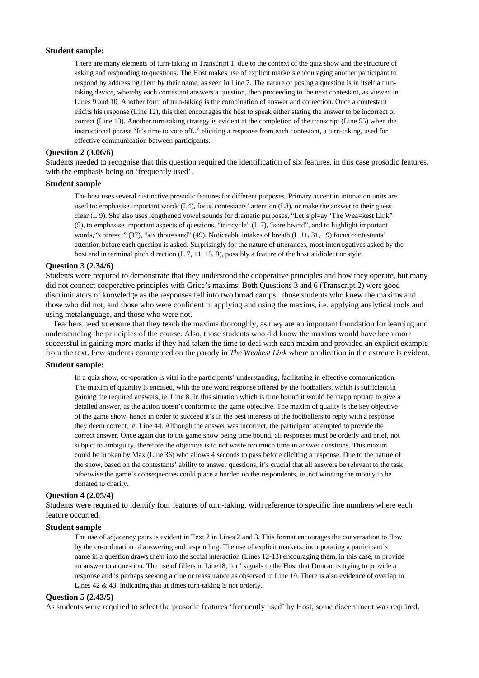#### **Student sample:**

There are many elements of turn-taking in Transcript 1, due to the context of the quiz show and the structure of asking and responding to questions. The Host makes use of explicit markers encouraging another participant to respond by addressing them by their name, as seen in Line 7. The nature of posing a question is in itself a turntaking device, whereby each contestant answers a question, then proceeding to the next contestant, as viewed in Lines 9 and 10, Another form of turn-taking is the combination of answer and correction. Once a contestant elicits his response (Line 12), this then encourages the host to speak either stating the answer to be incorrect or correct (Line 13). Another turn-taking strategy is evident at the completion of the transcript (Line 55) when the instructional phrase "It's time to vote off.." eliciting a response from each contestant, a turn-taking, used for effective communication between participants.

#### **Question 2 (3.06/6)**

Students needed to recognise that this question required the identification of six features, in this case prosodic features, with the emphasis being on 'frequently used'.

### **Student sample**

The host uses several distinctive prosodic features for different purposes. Primary accent in intonation units are used to: emphasise important words (L4), focus contestants' attention (L8), or make the answer to their guess clear (L 9). She also uses lengthened vowel sounds for dramatic purposes, "Let's pl=ay 'The Wea=kest Link" (5), to emphasise important aspects of questions, "tri=cycle" (L 7), "sore hea=d", and to highlight important words, "corre=ct" (37), "six thou=sand" (49). Noticeable intakes of breath (L 11, 31, 19) focus contestants' attention before each question is asked. Surprisingly for the nature of utterances, most interrogatives asked by the host end in terminal pitch direction (L 7, 11, 15, 9), possibly a feature of the host's idiolect or style.

#### **Question 3 (2.34/6)**

Students were required to demonstrate that they understood the cooperative principles and how they operate, but many did not connect cooperative principles with Grice's maxims. Both Questions 3 and 6 (Transcript 2) were good discriminators of knowledge as the responses fell into two broad camps: those students who knew the maxims and those who did not; and those who were confident in applying and using the maxims, i.e. applying analytical tools and using metalanguage, and those who were not.

Teachers need to ensure that they teach the maxims thoroughly, as they are an important foundation for learning and understanding the principles of the course. Also, those students who did know the maxims would have been more successful in gaining more marks if they had taken the time to deal with each maxim and provided an explicit example from the text. Few students commented on the parody in *The Weakest Link* where application in the extreme is evident.

### **Student sample:**

In a quiz show, co-operation is vital in the participants' understanding, facilitating in effective communication. The maxim of quantity is encased, with the one word response offered by the footballers, which is sufficient in gaining the required answers, ie. Line 8. In this situation which is time bound it would be inappropriate to give a detailed answer, as the action doesn't conform to the game objective. The maxim of quality is the key objective of the game show, hence in order to succeed it's in the best interests of the footballers to reply with a response they deem correct, ie. Line 44. Although the answer was incorrect, the participant attempted to provide the correct answer. Once again due to the game show being time bound, all responses must be orderly and brief, not subject to ambiguity, therefore the objective is to not waste too much time in answer questions. This maxim could be broken by Max (Line 36) who allows 4 seconds to pass before eliciting a response. Due to the nature of the show, based on the contestants' ability to answer questions, it's crucial that all answers be relevant to the task otherwise the game's consequences could place a burden on the respondents, ie. not winning the money to be donated to charity.

#### **Question 4 (2.05/4)**

Students were required to identify four features of turn-taking, with reference to specific line numbers where each feature occurred.

#### **Student sample**

The use of adjacency pairs is evident in Text 2 in Lines 2 and 3. This format encourages the conversation to flow by the co-ordination of answering and responding. The use of explicit markers, incorporating a participant's name in a question draws them into the social interaction (Lines 12-13) encouraging them, in this case, to provide an answer to a question. The use of fillers in Line18, "or" signals to the Host that Duncan is trying to provide a response and is perhaps seeking a clue or reassurance as observed in Line 19. There is also evidence of overlap in Lines 42 & 43, indicating that at times turn-taking is not orderly.

### **Question 5 (2.43/5)**

As students were required to select the prosodic features 'frequently used' by Host, some discernment was required.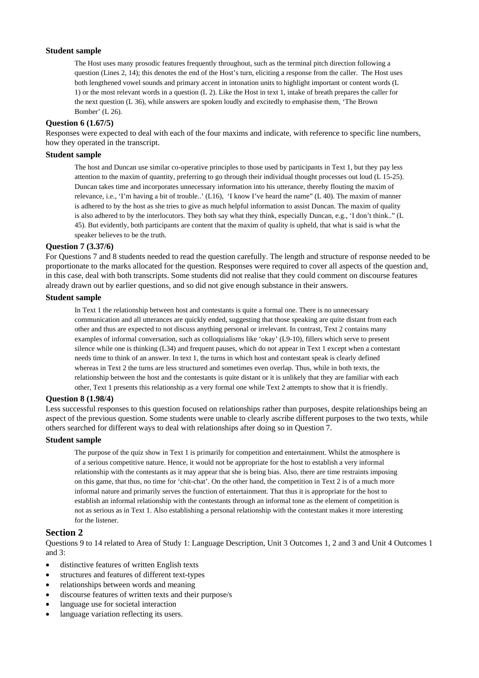### **Student sample**

The Host uses many prosodic features frequently throughout, such as the terminal pitch direction following a question (Lines 2, 14); this denotes the end of the Host's turn, eliciting a response from the caller. The Host uses both lengthened vowel sounds and primary accent in intonation units to highlight important or content words (L 1) or the most relevant words in a question (L 2). Like the Host in text 1, intake of breath prepares the caller for the next question (L 36), while answers are spoken loudly and excitedly to emphasise them, 'The Brown Bomber' (L 26).

### **Question 6 (1.67/5)**

Responses were expected to deal with each of the four maxims and indicate, with reference to specific line numbers, how they operated in the transcript.

### **Student sample**

The host and Duncan use similar co-operative principles to those used by participants in Text 1, but they pay less attention to the maxim of quantity, preferring to go through their individual thought processes out loud (L 15-25). Duncan takes time and incorporates unnecessary information into his utterance, thereby flouting the maxim of relevance, i.e., 'I'm having a bit of trouble..' (L16), 'I know I've heard the name" (L 40). The maxim of manner is adhered to by the host as she tries to give as much helpful information to assist Duncan. The maxim of quality is also adhered to by the interlocutors. They both say what they think, especially Duncan, e.g., 'I don't think.." (L 45). But evidently, both participants are content that the maxim of quality is upheld, that what is said is what the speaker believes to be the truth.

#### **Question 7 (3.37/6)**

For Questions 7 and 8 students needed to read the question carefully. The length and structure of response needed to be proportionate to the marks allocated for the question. Responses were required to cover all aspects of the question and, in this case, deal with both transcripts. Some students did not realise that they could comment on discourse features already drawn out by earlier questions, and so did not give enough substance in their answers.

### **Student sample**

In Text 1 the relationship between host and contestants is quite a formal one. There is no unnecessary communication and all utterances are quickly ended, suggesting that those speaking are quite distant from each other and thus are expected to not discuss anything personal or irrelevant. In contrast, Text 2 contains many examples of informal conversation, such as colloquialisms like 'okay' (L9-10), fillers which serve to present silence while one is thinking (L34) and frequent pauses, which do not appear in Text 1 except when a contestant needs time to think of an answer. In text 1, the turns in which host and contestant speak is clearly defined whereas in Text 2 the turns are less structured and sometimes even overlap. Thus, while in both texts, the relationship between the host and the contestants is quite distant or it is unlikely that they are familiar with each other, Text 1 presents this relationship as a very formal one while Text 2 attempts to show that it is friendly.

### **Question 8 (1.98/4)**

Less successful responses to this question focused on relationships rather than purposes, despite relationships being an aspect of the previous question. Some students were unable to clearly ascribe different purposes to the two texts, while others searched for different ways to deal with relationships after doing so in Question 7.

### **Student sample**

The purpose of the quiz show in Text 1 is primarily for competition and entertainment. Whilst the atmosphere is of a serious competitive nature. Hence, it would not be appropriate for the host to establish a very informal relationship with the contestants as it may appear that she is being bias. Also, there are time restraints imposing on this game, that thus, no time for 'chit-chat'. On the other hand, the competition in Text 2 is of a much more informal nature and primarily serves the function of entertainment. That thus it is appropriate for the host to establish an informal relationship with the contestants through an informal tone as the element of competition is not as serious as in Text 1. Also establishing a personal relationship with the contestant makes it more interesting for the listener.

### **Section 2**

Questions 9 to 14 related to Area of Study 1: Language Description, Unit 3 Outcomes 1, 2 and 3 and Unit 4 Outcomes 1 and 3:

- distinctive features of written English texts
- structures and features of different text-types
- relationships between words and meaning
- discourse features of written texts and their purpose/s
- language use for societal interaction
- language variation reflecting its users.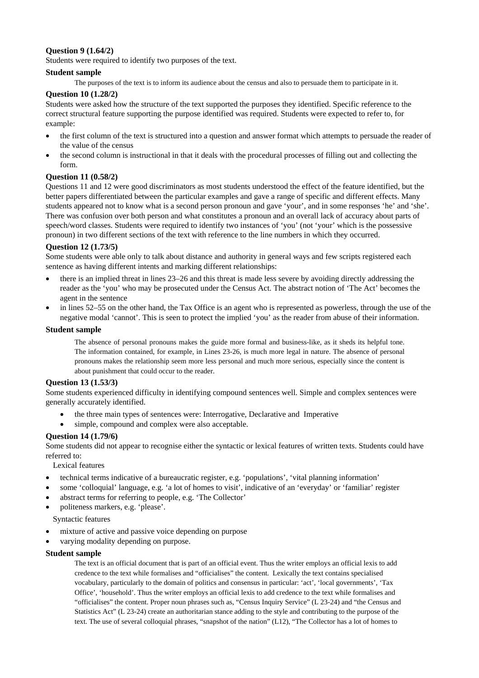# **Question 9 (1.64/2)**

Students were required to identify two purposes of the text.

## **Student sample**

The purposes of the text is to inform its audience about the census and also to persuade them to participate in it.

## **Question 10 (1.28/2)**

Students were asked how the structure of the text supported the purposes they identified. Specific reference to the correct structural feature supporting the purpose identified was required. Students were expected to refer to, for example:

- the first column of the text is structured into a question and answer format which attempts to persuade the reader of the value of the census
- the second column is instructional in that it deals with the procedural processes of filling out and collecting the form.

## **Question 11 (0.58/2)**

Questions 11 and 12 were good discriminators as most students understood the effect of the feature identified, but the better papers differentiated between the particular examples and gave a range of specific and different effects. Many students appeared not to know what is a second person pronoun and gave 'your', and in some responses 'he' and 'she'. There was confusion over both person and what constitutes a pronoun and an overall lack of accuracy about parts of speech/word classes. Students were required to identify two instances of 'you' (not 'your' which is the possessive pronoun) in two different sections of the text with reference to the line numbers in which they occurred.

## **Question 12 (1.73/5)**

Some students were able only to talk about distance and authority in general ways and few scripts registered each sentence as having different intents and marking different relationships:

- there is an implied threat in lines 23–26 and this threat is made less severe by avoiding directly addressing the reader as the 'you' who may be prosecuted under the Census Act. The abstract notion of 'The Act' becomes the agent in the sentence
- in lines 52–55 on the other hand, the Tax Office is an agent who is represented as powerless, through the use of the negative modal 'cannot'. This is seen to protect the implied 'you' as the reader from abuse of their information.

### **Student sample**

The absence of personal pronouns makes the guide more formal and business-like, as it sheds its helpful tone. The information contained, for example, in Lines 23-26, is much more legal in nature. The absence of personal pronouns makes the relationship seem more less personal and much more serious, especially since the content is about punishment that could occur to the reader.

## **Question 13 (1.53/3)**

Some students experienced difficulty in identifying compound sentences well. Simple and complex sentences were generally accurately identified.

- the three main types of sentences were: Interrogative, Declarative and Imperative
- simple, compound and complex were also acceptable.

## **Question 14 (1.79/6)**

Some students did not appear to recognise either the syntactic or lexical features of written texts. Students could have referred to:

Lexical features

- technical terms indicative of a bureaucratic register, e.g. 'populations', 'vital planning information'
- some 'colloquial' language, e.g. 'a lot of homes to visit', indicative of an 'everyday' or 'familiar' register
- abstract terms for referring to people, e.g. 'The Collector'
- politeness markers, e.g. 'please'.

Syntactic features

- mixture of active and passive voice depending on purpose
- varying modality depending on purpose.

### **Student sample**

The text is an official document that is part of an official event. Thus the writer employs an official lexis to add credence to the text while formalises and "officialises" the content. Lexically the text contains specialised vocabulary, particularly to the domain of politics and consensus in particular: 'act', 'local governments', 'Tax Office', 'household'. Thus the writer employs an official lexis to add credence to the text while formalises and "officialises" the content. Proper noun phrases such as, "Census Inquiry Service" (L 23-24) and "the Census and Statistics Act" (L 23-24) create an authoritarian stance adding to the style and contributing to the purpose of the text. The use of several colloquial phrases, "snapshot of the nation" (L12), "The Collector has a lot of homes to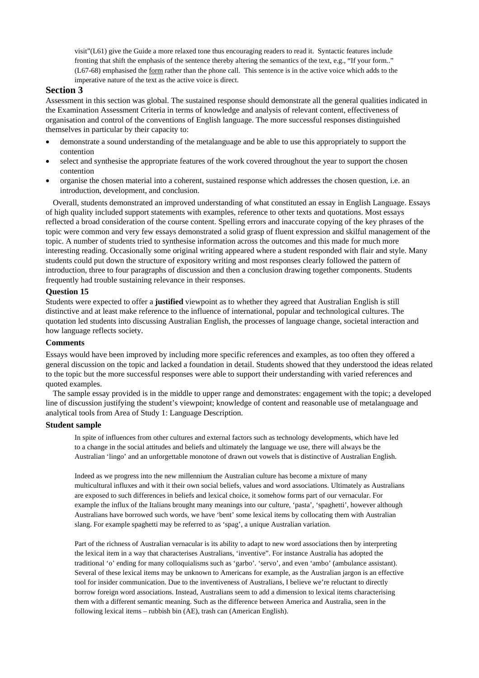visit"(L61) give the Guide a more relaxed tone thus encouraging readers to read it.Syntactic features include fronting that shift the emphasis of the sentence thereby altering the semantics of the text, e.g., "If your form.." (L67-68) emphasised the form rather than the phone call. This sentence is in the active voice which adds to the imperative nature of the text as the active voice is direct.

### **Section 3**

Assessment in this section was global. The sustained response should demonstrate all the general qualities indicated in the Examination Assessment Criteria in terms of knowledge and analysis of relevant content, effectiveness of organisation and control of the conventions of English language. The more successful responses distinguished themselves in particular by their capacity to:

- demonstrate a sound understanding of the metalanguage and be able to use this appropriately to support the contention
- select and synthesise the appropriate features of the work covered throughout the year to support the chosen contention
- organise the chosen material into a coherent, sustained response which addresses the chosen question, i.e. an introduction, development, and conclusion.

Overall, students demonstrated an improved understanding of what constituted an essay in English Language. Essays of high quality included support statements with examples, reference to other texts and quotations. Most essays reflected a broad consideration of the course content. Spelling errors and inaccurate copying of the key phrases of the topic were common and very few essays demonstrated a solid grasp of fluent expression and skilful management of the topic. A number of students tried to synthesise information across the outcomes and this made for much more interesting reading. Occasionally some original writing appeared where a student responded with flair and style. Many students could put down the structure of expository writing and most responses clearly followed the pattern of introduction, three to four paragraphs of discussion and then a conclusion drawing together components. Students frequently had trouble sustaining relevance in their responses.

### **Question 15**

Students were expected to offer a **justified** viewpoint as to whether they agreed that Australian English is still distinctive and at least make reference to the influence of international, popular and technological cultures. The quotation led students into discussing Australian English, the processes of language change, societal interaction and how language reflects society.

### **Comments**

Essays would have been improved by including more specific references and examples, as too often they offered a general discussion on the topic and lacked a foundation in detail. Students showed that they understood the ideas related to the topic but the more successful responses were able to support their understanding with varied references and quoted examples.

The sample essay provided is in the middle to upper range and demonstrates: engagement with the topic; a developed line of discussion justifying the student's viewpoint; knowledge of content and reasonable use of metalanguage and analytical tools from Area of Study 1: Language Description.

#### **Student sample**

In spite of influences from other cultures and external factors such as technology developments, which have led to a change in the social attitudes and beliefs and ultimately the language we use, there will always be the Australian 'lingo' and an unforgettable monotone of drawn out vowels that is distinctive of Australian English.

Indeed as we progress into the new millennium the Australian culture has become a mixture of many multicultural influxes and with it their own social beliefs, values and word associations. Ultimately as Australians are exposed to such differences in beliefs and lexical choice, it somehow forms part of our vernacular. For example the influx of the Italians brought many meanings into our culture, 'pasta', 'spaghetti', however although Australians have borrowed such words, we have 'bent' some lexical items by collocating them with Australian slang. For example spaghetti may be referred to as 'spag', a unique Australian variation.

Part of the richness of Australian vernacular is its ability to adapt to new word associations then by interpreting the lexical item in a way that characterises Australians, 'inventive". For instance Australia has adopted the traditional 'o' ending for many colloquialisms such as 'garbo'. 'servo', and even 'ambo' (ambulance assistant). Several of these lexical items may be unknown to Americans for example, as the Australian jargon is an effective tool for insider communication. Due to the inventiveness of Australians, I believe we're reluctant to directly borrow foreign word associations. Instead, Australians seem to add a dimension to lexical items characterising them with a different semantic meaning. Such as the difference between America and Australia, seen in the following lexical items – rubbish bin (AE), trash can (American English).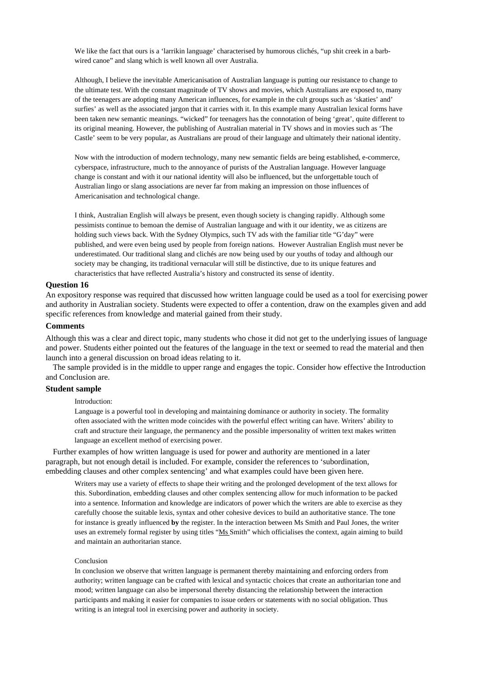We like the fact that ours is a 'larrikin language' characterised by humorous clichés, "up shit creek in a barbwired canoe" and slang which is well known all over Australia.

Although, I believe the inevitable Americanisation of Australian language is putting our resistance to change to the ultimate test. With the constant magnitude of TV shows and movies, which Australians are exposed to, many of the teenagers are adopting many American influences, for example in the cult groups such as 'skaties' and' surfies' as well as the associated jargon that it carries with it. In this example many Australian lexical forms have been taken new semantic meanings. "wicked" for teenagers has the connotation of being 'great', quite different to its original meaning. However, the publishing of Australian material in TV shows and in movies such as 'The Castle' seem to be very popular, as Australians are proud of their language and ultimately their national identity.

Now with the introduction of modern technology, many new semantic fields are being established, e-commerce, cyberspace, infrastructure, much to the annoyance of purists of the Australian language. However language change is constant and with it our national identity will also be influenced, but the unforgettable touch of Australian lingo or slang associations are never far from making an impression on those influences of Americanisation and technological change.

I think, Australian English will always be present, even though society is changing rapidly. Although some pessimists continue to bemoan the demise of Australian language and with it our identity, we as citizens are holding such views back. With the Sydney Olympics, such TV ads with the familiar title "G'day" were published, and were even being used by people from foreign nations. However Australian English must never be underestimated. Our traditional slang and clichés are now being used by our youths of today and although our society may be changing, its traditional vernacular will still be distinctive, due to its unique features and characteristics that have reflected Australia's history and constructed its sense of identity.

### **Question 16**

An expository response was required that discussed how written language could be used as a tool for exercising power and authority in Australian society. Students were expected to offer a contention, draw on the examples given and add specific references from knowledge and material gained from their study.

#### **Comments**

Although this was a clear and direct topic, many students who chose it did not get to the underlying issues of language and power. Students either pointed out the features of the language in the text or seemed to read the material and then launch into a general discussion on broad ideas relating to it.

The sample provided is in the middle to upper range and engages the topic. Consider how effective the Introduction and Conclusion are.

### **Student sample**

Introduction:

Language is a powerful tool in developing and maintaining dominance or authority in society. The formality often associated with the written mode coincides with the powerful effect writing can have. Writers' ability to craft and structure their language, the permanency and the possible impersonality of written text makes written language an excellent method of exercising power.

Further examples of how written language is used for power and authority are mentioned in a later paragraph, but not enough detail is included. For example, consider the references to 'subordination, embedding clauses and other complex sentencing' and what examples could have been given here.

Writers may use a variety of effects to shape their writing and the prolonged development of the text allows for this. Subordination, embedding clauses and other complex sentencing allow for much information to be packed into a sentence. Information and knowledge are indicators of power which the writers are able to exercise as they carefully choose the suitable lexis, syntax and other cohesive devices to build an authoritative stance. The tone for instance is greatly influenced **by** the register. In the interaction between Ms Smith and Paul Jones, the writer uses an extremely formal register by using titles "Ms Smith" which officialises the context, again aiming to build and maintain an authoritarian stance.

#### Conclusion

In conclusion we observe that written language is permanent thereby maintaining and enforcing orders from authority; written language can be crafted with lexical and syntactic choices that create an authoritarian tone and mood; written language can also be impersonal thereby distancing the relationship between the interaction participants and making it easier for companies to issue orders or statements with no social obligation. Thus writing is an integral tool in exercising power and authority in society.